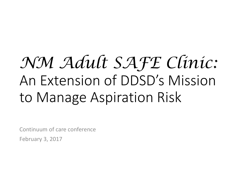# *NM Adult SAFE Clinic:*  An Extension of DDSD's Mission to Manage Aspiration Risk

Continuum of care conference

February 3, 2017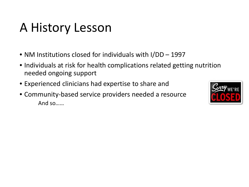## A History Lesson

- NM Institutions closed for individuals with I/DD 1997
- Individuals at risk for health complications related getting nutrition needed ongoing support
- Experienced clinicians had expertise to share and
- Community-based service providers needed a resource And so……

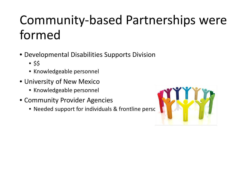# Community-based Partnerships were formed

- Developmental Disabilities Supports Division
	- $•$  \$\$
	- Knowledgeable personnel
- University of New Mexico
	- Knowledgeable personnel
- Community Provider Agencies
	- Needed support for individuals & frontline perso

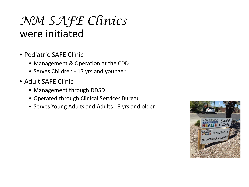## *NM SAFE Clinics* were initiated

- Pediatric SAFE Clinic
	- Management & Operation at the CDD
	- Serves Children 17 yrs and younger
- Adult SAFE Clinic
	- Management through DDSD
	- Operated through Clinical Services Bureau
	- Serves Young Adults and Adults 18 yrs and older

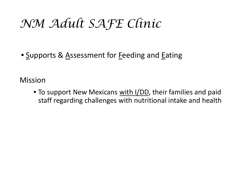## *NM Adult SAFE Clinic*

• Supports & Assessment for Feeding and Eating

Mission

• To support New Mexicans with I/DD, their families and paid staff regarding challenges with nutritional intake and health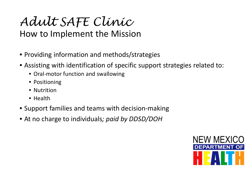*Adult SAFE Clinic*

How to Implement the Mission

- Providing information and methods/strategies
- Assisting with identification of specific support strategies related to:
	- Oral-motor function and swallowing
	- Positioning
	- Nutrition
	- Health
- Support families and teams with decision-making
- At no charge to individuals*; paid by DDSD/DOH*

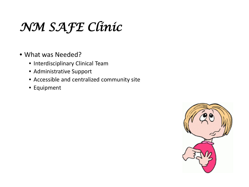# *NM SAFE Clinic*

- What was Needed?
	- Interdisciplinary Clinical Team
	- Administrative Support
	- Accessible and centralized community site
	- Equipment

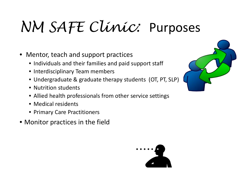# *NM SAFE Clinic:* Purposes

- Mentor, teach and support practices
	- Individuals and their families and paid support staff
	- Interdisciplinary Team members
	- Undergraduate & graduate therapy students (OT, PT, SLP)
	- Nutrition students
	- Allied health professionals from other service settings
	- Medical residents
	- Primary Care Practitioners
- Monitor practices in the field



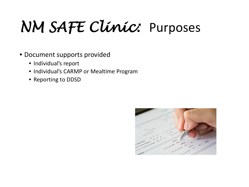# *NM SAFE Clinic:* Purposes

- Document supports provided
	- Individual's report
	- Individual's CARMP or Mealtime Program
	- Reporting to DDSD

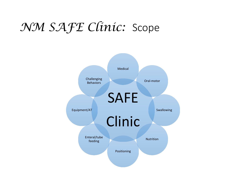## *NM SAFE Clinic:* Scope

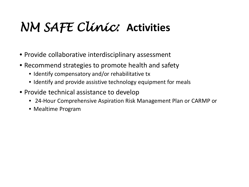# *NM SAFE Clinic:* **Activities**

- Provide collaborative interdisciplinary assessment
- Recommend strategies to promote health and safety
	- Identify compensatory and/or rehabilitative tx
	- Identify and provide assistive technology equipment for meals
- Provide technical assistance to develop
	- 24-Hour Comprehensive Aspiration Risk Management Plan or CARMP or
	- Mealtime Program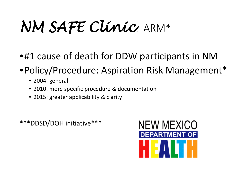# *NM SAFE Clinic*: ARM\*

- •#1 cause of death for DDW participants in NM
- •Policy/Procedure: Aspiration Risk Management\*
	- 2004: general
	- 2010: more specific procedure & documentation
	- 2015: greater applicability & clarity

\*\*\*DDSD/DOH initiative\*\*\*

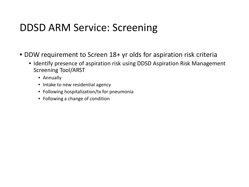### DDSD ARM Service: Screening

- DDW requirement to Screen 18+ yr olds for aspiration risk criteria
	- Identify presence of aspiration risk using DDSD Aspiration Risk Management Screening Tool/ARST
		- Annually
		- Intake to new residential agency
		- Following hospitalization/tx for pneumonia
		- Following a change of condition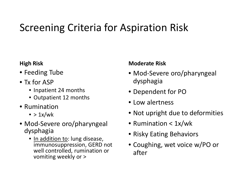## Screening Criteria for Aspiration Risk

#### **High Risk**

- Feeding Tube
- Tx for ASP
	- Inpatient 24 months
	- Outpatient 12 months
- Rumination
	- $\bullet$  > 1x/wk
- Mod-Severe oro/pharyngeal dysphagia
	- In addition to: lung disease, immunosuppression, GERD not well controlled, rumination or vomiting weekly or >

#### **Moderate Risk**

- Mod-Severe oro/pharyngeal dysphagia
- Dependent for PO
- Low alertness
- Not upright due to deformities
- Rumination < 1x/wk
- Risky Eating Behaviors
- Coughing, wet voice w/PO or after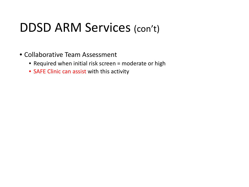## DDSD ARM Services (con't)

- Collaborative Team Assessment
	- Required when initial risk screen = moderate or high
	- SAFE Clinic can assist with this activity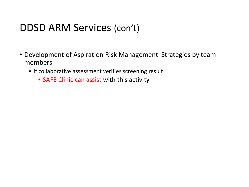### DDSD ARM Services (con't)

- Development of Aspiration Risk Management Strategies by team members
	- If collaborative assessment verifies screening result
		- SAFE Clinic can assist with this activity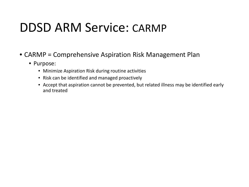## DDSD ARM Service: CARMP

- CARMP = Comprehensive Aspiration Risk Management Plan
	- Purpose:
		- Minimize Aspiration Risk during routine activities
		- Risk can be identified and managed proactively
		- Accept that aspiration cannot be prevented, but related illness may be identified early and treated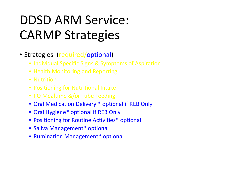# DDSD ARM Service: CARMP Strategies

- Strategies (required/optional)
	- Individual Specific Signs & Symptoms of Aspiration
	- Health Monitoring and Reporting
	- Nutrition
	- Positioning for Nutritional Intake
	- PO Mealtime &/or Tube Feeding
	- Oral Medication Delivery \* optional if REB Only
	- Oral Hygiene\* optional if REB Only
	- Positioning for Routine Activities\* optional
	- Saliva Management\* optional
	- Rumination Management\* optional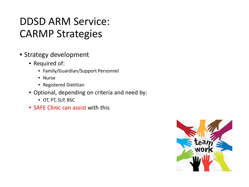## DDSD ARM Service: CARMP Strategies

- Strategy development
	- Required of:
		- Family/Guardian/Support Personnel
		- Nurse
		- Registered Dietitian
	- Optional, depending on criteria and need by:
		- OT, PT, SLP, BSC
	- SAFE Clinic can assist with this

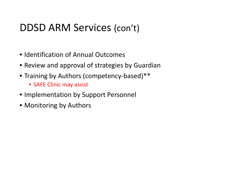### DDSD ARM Services (con't)

- Identification of Annual Outcomes
- Review and approval of strategies by Guardian
- Training by Authors (competency-based)\*\*
	- SAFE Clinic may assist
- Implementation by Support Personnel
- Monitoring by Authors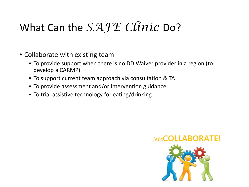## What Can the *SAFE Clinic* Do?

- Collaborate with existing team
	- To provide support when there is no DD Waiver provider in a region (to develop a CARMP)
	- To support current team approach via consultation & TA
	- To provide assessment and/or intervention guidance
	- To trial assistive technology for eating/drinking

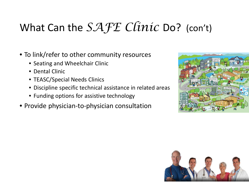## What Can the *SAFE Clinic* Do? (con't)

- To link/refer to other community resources
	- Seating and Wheelchair Clinic
	- Dental Clinic
	- TEASC/Special Needs Clinics
	- Discipline specific technical assistance in related areas
	- Funding options for assistive technology
- Provide physician-to-physician consultation



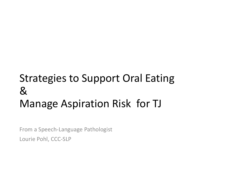## Strategies to Support Oral Eating & Manage Aspiration Risk for TJ

From a Speech-Language Pathologist Lourie Pohl, CCC-SLP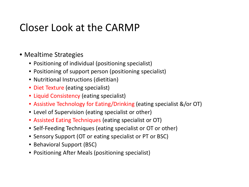### Closer Look at the CARMP

- Mealtime Strategies
	- Positioning of individual (positioning specialist)
	- Positioning of support person (positioning specialist)
	- Nutritional Instructions (dietitian)
	- Diet Texture (eating specialist)
	- Liquid Consistency (eating specialist)
	- Assistive Technology for Eating/Drinking (eating specialist &/or OT)
	- Level of Supervision (eating specialist or other)
	- Assisted Eating Techniques (eating specialist or OT)
	- Self-Feeding Techniques (eating specialist or OT or other)
	- Sensory Support (OT or eating specialist or PT or BSC)
	- Behavioral Support (BSC)
	- Positioning After Meals (positioning specialist)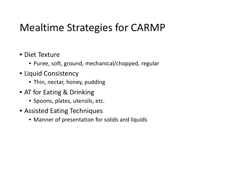## Mealtime Strategies for CARMP

- Diet Texture
	- Puree, soft, ground, mechanical/chopped, regular
- Liquid Consistency
	- Thin, nectar, honey, pudding
- AT for Eating & Drinking
	- Spoons, plates, utensils, etc.
- Assisted Eating Techniques
	- Manner of presentation for solids and liquids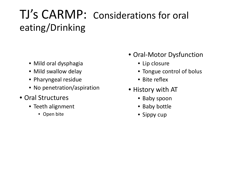## TJ's CARMP: Considerations for oral eating/Drinking

- Mild oral dysphagia
- Mild swallow delay
- Pharyngeal residue
- No penetration/aspiration
- Oral Structures
	- Teeth alignment
		- Open bite
- Oral-Motor Dysfunction
	- Lip closure
	- Tongue control of bolus
	- Bite reflex
- History with AT
	- Baby spoon
	- Baby bottle
	- Sippy cup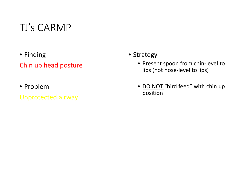- Finding Chin up head posture
- Problem
- Unprotected airway

#### • Strategy

- Present spoon from chin-level to lips (not nose-level to lips)
- DO NOT "bird feed" with chin up position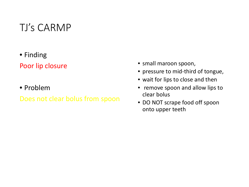• Finding

#### Poor lip closure

• Problem

#### Does not clear bolus from spoon

- small maroon spoon,
- pressure to mid-third of tongue,
- wait for lips to close and then
- remove spoon and allow lips to clear bolus
- DO NOT scrape food off spoon onto upper teeth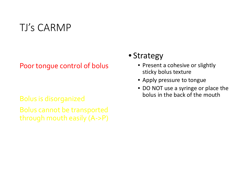Poor tongue control of bolus

Bolus is disorganized Bolus cannot be transported through mouth easily (A->P)

#### • Strategy

- Present a cohesive or slightly sticky bolus texture
- Apply pressure to tongue
- DO NOT use a syringe or place the bolus in the back of the mouth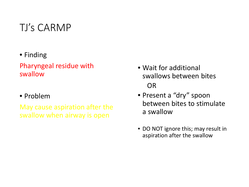• Finding

#### Pharyngeal residue with swallow

#### • Problem

May cause aspiration after the swallow when airway is open

- Wait for additional swallows between bites OR
- Present a "dry" spoon between bites to stimulate a swallow
- DO NOT ignore this; may result in aspiration after the swallow